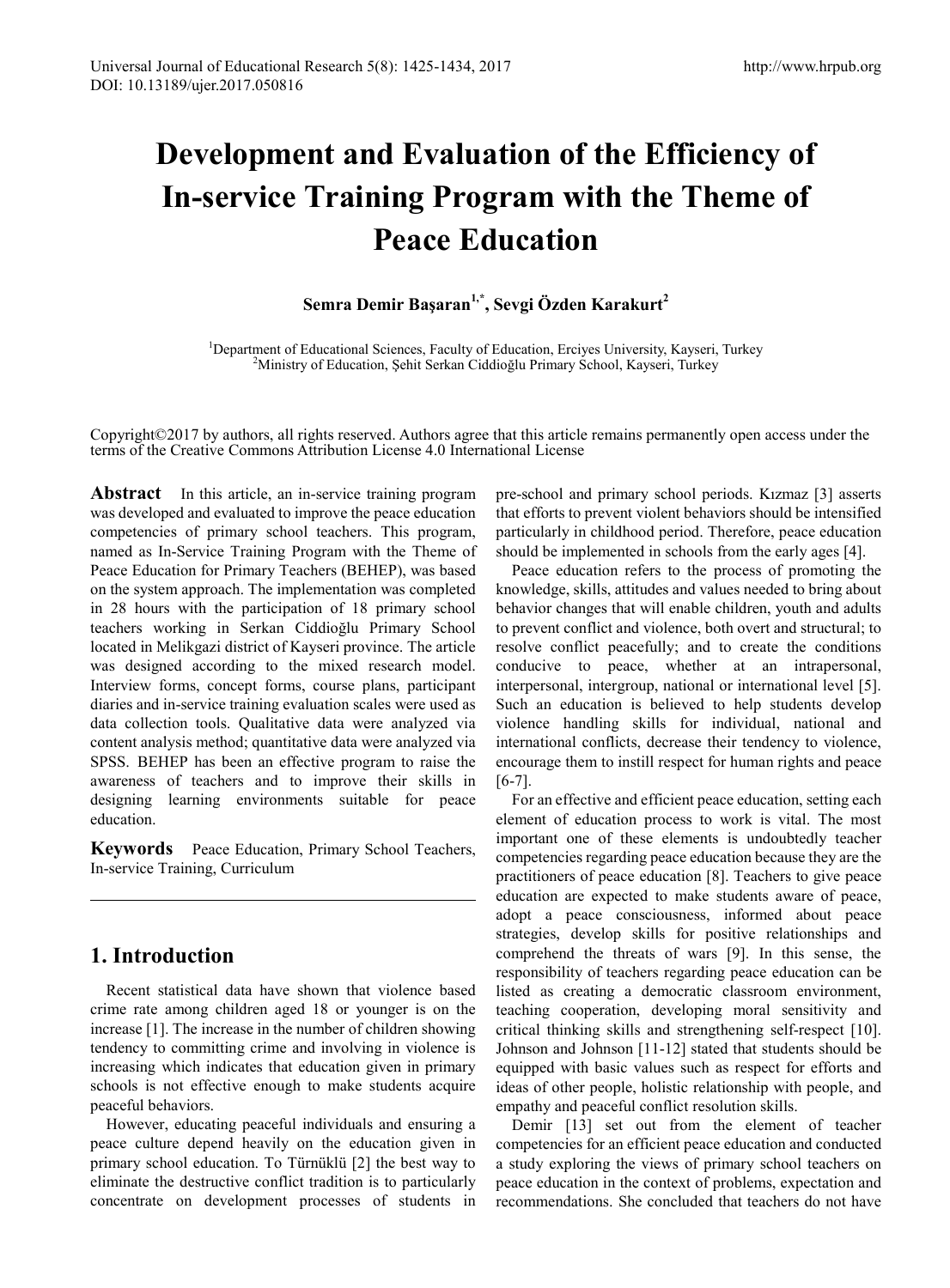# **Development and Evaluation of the Efficiency of In-service Training Program with the Theme of Peace Education**

# **Semra Demir Başaran1,\*, Sevgi Özden Karakurt2**

<sup>1</sup>Department of Educational Sciences, Faculty of Education, Erciyes University, Kayseri, Turkey <sup>2</sup>Ministry of Education, Şehit Serkan Ciddioğlu Primary School, Kayseri, Turkey

Copyright©2017 by authors, all rights reserved. Authors agree that this article remains permanently open access under the terms of the Creative Commons Attribution License 4.0 International License

Abstract In this article, an in-service training program was developed and evaluated to improve the peace education competencies of primary school teachers. This program, named as In-Service Training Program with the Theme of Peace Education for Primary Teachers (BEHEP), was based on the system approach. The implementation was completed in 28 hours with the participation of 18 primary school teachers working in Serkan Ciddioğlu Primary School located in Melikgazi district of Kayseri province. The article was designed according to the mixed research model. Interview forms, concept forms, course plans, participant diaries and in-service training evaluation scales were used as data collection tools. Qualitative data were analyzed via content analysis method; quantitative data were analyzed via SPSS. BEHEP has been an effective program to raise the awareness of teachers and to improve their skills in designing learning environments suitable for peace education.

**Keywords** Peace Education, Primary School Teachers, In-service Training, Curriculum

# **1. Introduction**

Recent statistical data have shown that violence based crime rate among children aged 18 or younger is on the increase [1]. The increase in the number of children showing tendency to committing crime and involving in violence is increasing which indicates that education given in primary schools is not effective enough to make students acquire peaceful behaviors.

However, educating peaceful individuals and ensuring a peace culture depend heavily on the education given in primary school education. To Türnüklü [2] the best way to eliminate the destructive conflict tradition is to particularly concentrate on development processes of students in pre-school and primary school periods. Kızmaz [3] asserts that efforts to prevent violent behaviors should be intensified particularly in childhood period. Therefore, peace education should be implemented in schools from the early ages [4].

Peace education refers to the process of promoting the knowledge, skills, attitudes and values needed to bring about behavior changes that will enable children, youth and adults to prevent conflict and violence, both overt and structural; to resolve conflict peacefully; and to create the conditions conducive to peace, whether at an intrapersonal, interpersonal, intergroup, national or international level [5]. Such an education is believed to help students develop violence handling skills for individual, national and international conflicts, decrease their tendency to violence, encourage them to instill respect for human rights and peace [6-7].

For an effective and efficient peace education, setting each element of education process to work is vital. The most important one of these elements is undoubtedly teacher competencies regarding peace education because they are the practitioners of peace education [8]. Teachers to give peace education are expected to make students aware of peace, adopt a peace consciousness, informed about peace strategies, develop skills for positive relationships and comprehend the threats of wars [9]. In this sense, the responsibility of teachers regarding peace education can be listed as creating a democratic classroom environment, teaching cooperation, developing moral sensitivity and critical thinking skills and strengthening self-respect [10]. Johnson and Johnson [11-12] stated that students should be equipped with basic values such as respect for efforts and ideas of other people, holistic relationship with people, and empathy and peaceful conflict resolution skills.

Demir [13] set out from the element of teacher competencies for an efficient peace education and conducted a study exploring the views of primary school teachers on peace education in the context of problems, expectation and recommendations. She concluded that teachers do not have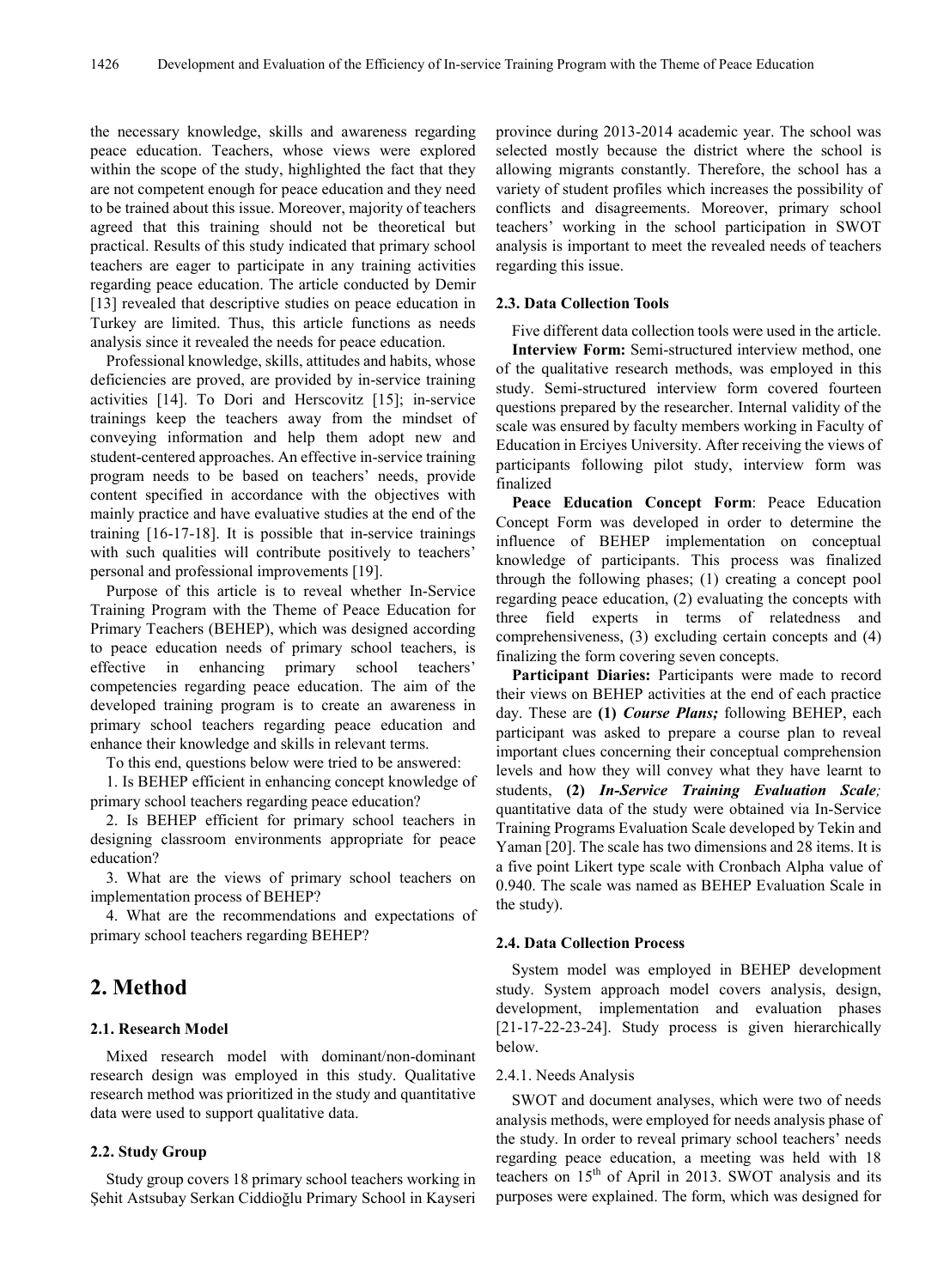the necessary knowledge, skills and awareness regarding peace education. Teachers, whose views were explored within the scope of the study, highlighted the fact that they are not competent enough for peace education and they need to be trained about this issue. Moreover, majority of teachers agreed that this training should not be theoretical but practical. Results of this study indicated that primary school teachers are eager to participate in any training activities regarding peace education. The article conducted by Demir [13] revealed that descriptive studies on peace education in Turkey are limited. Thus, this article functions as needs analysis since it revealed the needs for peace education.

Professional knowledge, skills, attitudes and habits, whose deficiencies are proved, are provided by in-service training activities [14]. To Dori and Herscovitz [15]; in-service trainings keep the teachers away from the mindset of conveying information and help them adopt new and student-centered approaches. An effective in-service training program needs to be based on teachers' needs, provide content specified in accordance with the objectives with mainly practice and have evaluative studies at the end of the training [16-17-18]. It is possible that in-service trainings with such qualities will contribute positively to teachers' personal and professional improvements [19].

Purpose of this article is to reveal whether In-Service Training Program with the Theme of Peace Education for Primary Teachers (BEHEP), which was designed according to peace education needs of primary school teachers, is effective in enhancing primary school teachers' competencies regarding peace education. The aim of the developed training program is to create an awareness in primary school teachers regarding peace education and enhance their knowledge and skills in relevant terms.

To this end, questions below were tried to be answered:

1. Is BEHEP efficient in enhancing concept knowledge of primary school teachers regarding peace education?

2. Is BEHEP efficient for primary school teachers in designing classroom environments appropriate for peace education?

3. What are the views of primary school teachers on implementation process of BEHEP?

4. What are the recommendations and expectations of primary school teachers regarding BEHEP?

# **2. Method**

## **2.1. Research Model**

Mixed research model with dominant/non-dominant research design was employed in this study. Qualitative research method was prioritized in the study and quantitative data were used to support qualitative data.

# **2.2. Study Group**

Study group covers 18 primary school teachers working in Şehit Astsubay Serkan Ciddioğlu Primary School in Kayseri

province during 2013-2014 academic year. The school was selected mostly because the district where the school is allowing migrants constantly. Therefore, the school has a variety of student profiles which increases the possibility of conflicts and disagreements. Moreover, primary school teachers' working in the school participation in SWOT analysis is important to meet the revealed needs of teachers regarding this issue.

## **2.3. Data Collection Tools**

Five different data collection tools were used in the article. **Interview Form:** Semi-structured interview method, one of the qualitative research methods, was employed in this study. Semi-structured interview form covered fourteen questions prepared by the researcher. Internal validity of the scale was ensured by faculty members working in Faculty of Education in Erciyes University. After receiving the views of participants following pilot study, interview form was finalized

**Peace Education Concept Form**: Peace Education Concept Form was developed in order to determine the influence of BEHEP implementation on conceptual knowledge of participants. This process was finalized through the following phases; (1) creating a concept pool regarding peace education, (2) evaluating the concepts with three field experts in terms of relatedness and comprehensiveness, (3) excluding certain concepts and (4) finalizing the form covering seven concepts.

Participant Diaries: Participants were made to record their views on BEHEP activities at the end of each practice day. These are **(1)** *Course Plans;* following BEHEP, each participant was asked to prepare a course plan to reveal important clues concerning their conceptual comprehension levels and how they will convey what they have learnt to students, **(2)** *In-Service Training Evaluation Scale;* quantitative data of the study were obtained via In-Service Training Programs Evaluation Scale developed by Tekin and Yaman [20]. The scale has two dimensions and 28 items. It is a five point Likert type scale with Cronbach Alpha value of 0.940. The scale was named as BEHEP Evaluation Scale in the study).

## **2.4. Data Collection Process**

System model was employed in BEHEP development study. System approach model covers analysis, design, development, implementation and evaluation phases [21-17-22-23-24]. Study process is given hierarchically below.

## 2.4.1. Needs Analysis

SWOT and document analyses, which were two of needs analysis methods, were employed for needs analysis phase of the study. In order to reveal primary school teachers' needs regarding peace education, a meeting was held with 18 teachers on  $15<sup>th</sup>$  of April in 2013. SWOT analysis and its purposes were explained. The form, which was designed for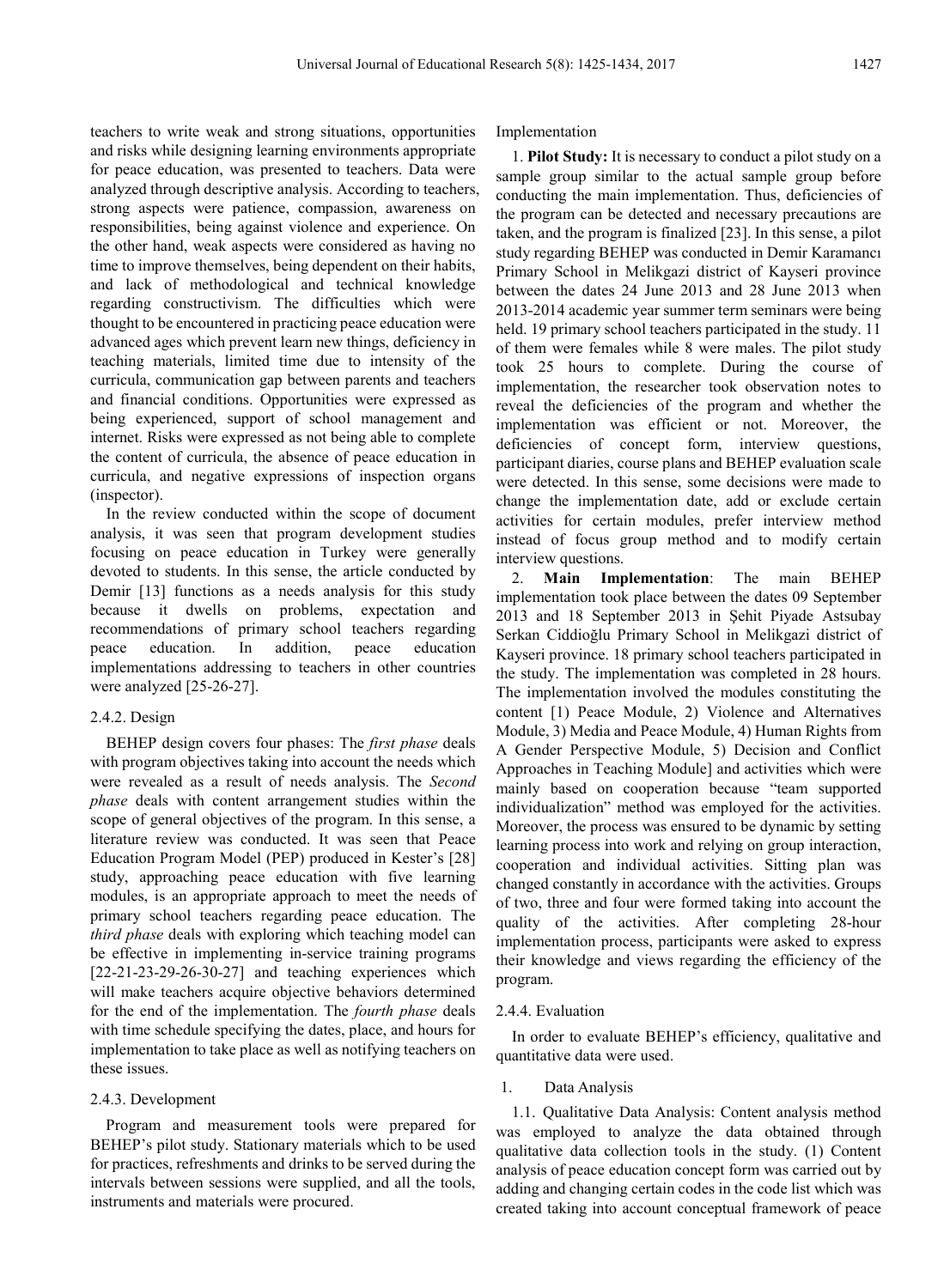teachers to write weak and strong situations, opportunities and risks while designing learning environments appropriate for peace education, was presented to teachers. Data were analyzed through descriptive analysis. According to teachers, strong aspects were patience, compassion, awareness on responsibilities, being against violence and experience. On the other hand, weak aspects were considered as having no time to improve themselves, being dependent on their habits, and lack of methodological and technical knowledge regarding constructivism. The difficulties which were thought to be encountered in practicing peace education were advanced ages which prevent learn new things, deficiency in teaching materials, limited time due to intensity of the curricula, communication gap between parents and teachers and financial conditions. Opportunities were expressed as being experienced, support of school management and internet. Risks were expressed as not being able to complete the content of curricula, the absence of peace education in curricula, and negative expressions of inspection organs (inspector).

In the review conducted within the scope of document analysis, it was seen that program development studies focusing on peace education in Turkey were generally devoted to students. In this sense, the article conducted by Demir [13] functions as a needs analysis for this study because it dwells on problems, expectation and recommendations of primary school teachers regarding peace education. In addition, peace education implementations addressing to teachers in other countries were analyzed [25-26-27].

## 2.4.2. Design

BEHEP design covers four phases: The *first phase* deals with program objectives taking into account the needs which were revealed as a result of needs analysis. The *Second phase* deals with content arrangement studies within the scope of general objectives of the program. In this sense, a literature review was conducted. It was seen that Peace Education Program Model (PEP) produced in Kester's [28] study, approaching peace education with five learning modules, is an appropriate approach to meet the needs of primary school teachers regarding peace education. The *third phase* deals with exploring which teaching model can be effective in implementing in-service training programs  $[22-21-23-29-26-30-27]$  and teaching experiences which will make teachers acquire objective behaviors determined for the end of the implementation. The *fourth phase* deals with time schedule specifying the dates, place, and hours for implementation to take place as well as notifying teachers on these issues.

## 2.4.3. Development

Program and measurement tools were prepared for BEHEP's pilot study. Stationary materials which to be used for practices, refreshments and drinks to be served during the intervals between sessions were supplied, and all the tools, instruments and materials were procured.

Implementation

1. **Pilot Study:** It is necessary to conduct a pilot study on a sample group similar to the actual sample group before conducting the main implementation. Thus, deficiencies of the program can be detected and necessary precautions are taken, and the program is finalized [23]. In this sense, a pilot study regarding BEHEP was conducted in Demir Karamancı Primary School in Melikgazi district of Kayseri province between the dates 24 June 2013 and 28 June 2013 when 2013-2014 academic year summer term seminars were being held. 19 primary school teachers participated in the study. 11 of them were females while 8 were males. The pilot study took 25 hours to complete. During the course of implementation, the researcher took observation notes to reveal the deficiencies of the program and whether the implementation was efficient or not. Moreover, the deficiencies of concept form, interview questions, participant diaries, course plans and BEHEP evaluation scale were detected. In this sense, some decisions were made to change the implementation date, add or exclude certain activities for certain modules, prefer interview method instead of focus group method and to modify certain interview questions.

2. **Main Implementation**: The main BEHEP implementation took place between the dates 09 September 2013 and 18 September 2013 in Şehit Piyade Astsubay Serkan Ciddioğlu Primary School in Melikgazi district of Kayseri province. 18 primary school teachers participated in the study. The implementation was completed in 28 hours. The implementation involved the modules constituting the content [1) Peace Module, 2) Violence and Alternatives Module, 3) Media and Peace Module, 4) Human Rights from A Gender Perspective Module, 5) Decision and Conflict Approaches in Teaching Module] and activities which were mainly based on cooperation because "team supported individualization" method was employed for the activities. Moreover, the process was ensured to be dynamic by setting learning process into work and relying on group interaction, cooperation and individual activities. Sitting plan was changed constantly in accordance with the activities. Groups of two, three and four were formed taking into account the quality of the activities. After completing 28-hour implementation process, participants were asked to express their knowledge and views regarding the efficiency of the program.

#### 2.4.4. Evaluation

In order to evaluate BEHEP's efficiency, qualitative and quantitative data were used.

### 1. Data Analysis

1.1. Qualitative Data Analysis: Content analysis method was employed to analyze the data obtained through qualitative data collection tools in the study. (1) Content analysis of peace education concept form was carried out by adding and changing certain codes in the code list which was created taking into account conceptual framework of peace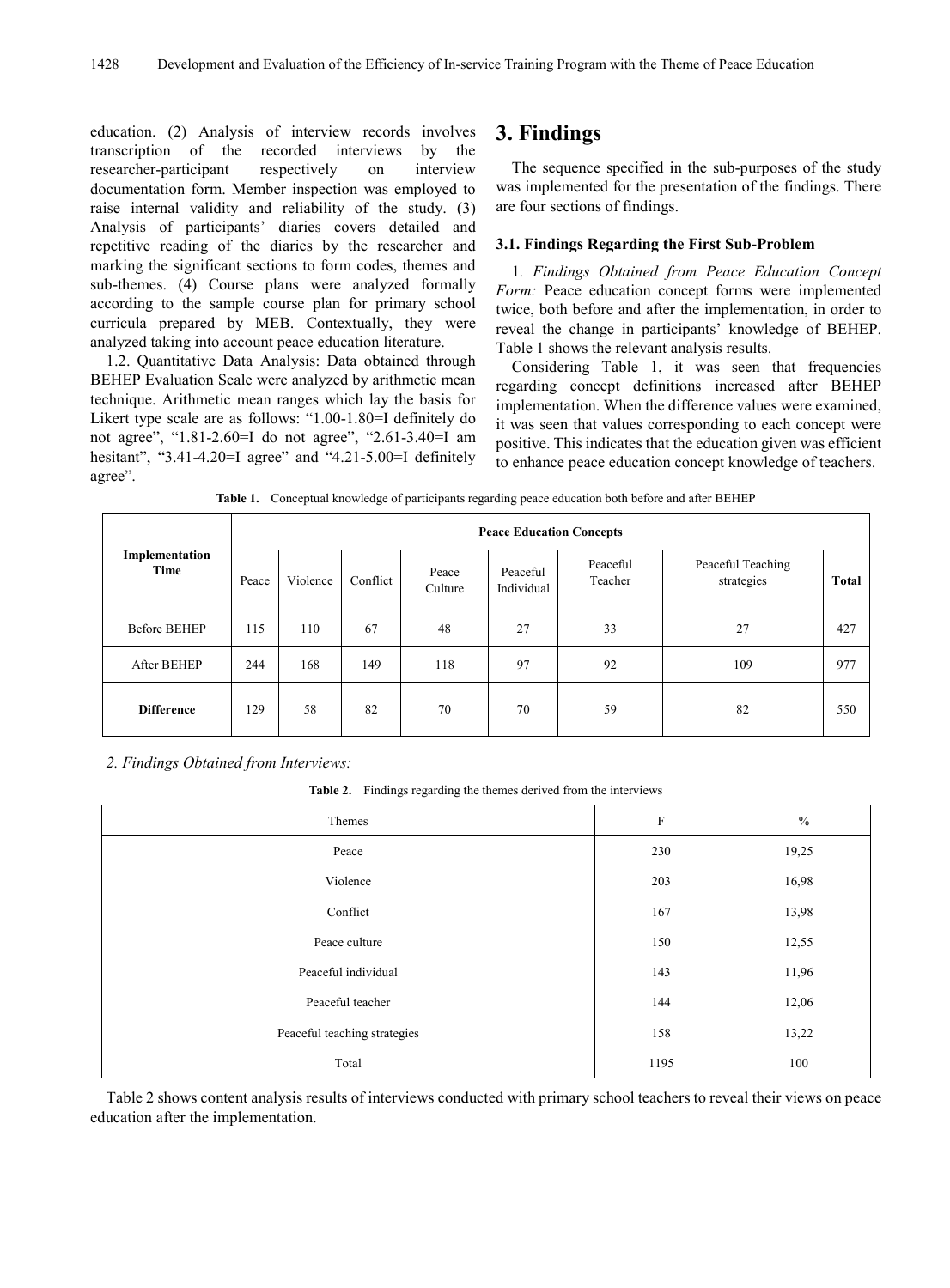education. (2) Analysis of interview records involves transcription of the recorded interviews by the researcher-participant respectively on interview documentation form. Member inspection was employed to raise internal validity and reliability of the study. (3) Analysis of participants' diaries covers detailed and repetitive reading of the diaries by the researcher and marking the significant sections to form codes, themes and sub-themes. (4) Course plans were analyzed formally according to the sample course plan for primary school curricula prepared by MEB. Contextually, they were analyzed taking into account peace education literature.

1.2. Quantitative Data Analysis: Data obtained through BEHEP Evaluation Scale were analyzed by arithmetic mean technique. Arithmetic mean ranges which lay the basis for Likert type scale are as follows: "1.00-1.80=I definitely do not agree", "1.81-2.60=I do not agree", "2.61-3.40=I am hesitant", "3.41-4.20=I agree" and "4.21-5.00=I definitely agree".

# **3. Findings**

The sequence specified in the sub-purposes of the study was implemented for the presentation of the findings. There are four sections of findings.

## **3.1. Findings Regarding the First Sub-Problem**

1*. Findings Obtained from Peace Education Concept Form:* Peace education concept forms were implemented twice, both before and after the implementation, in order to reveal the change in participants' knowledge of BEHEP. Table 1 shows the relevant analysis results.

Considering Table 1, it was seen that frequencies regarding concept definitions increased after BEHEP implementation. When the difference values were examined, it was seen that values corresponding to each concept were positive. This indicates that the education given was efficient to enhance peace education concept knowledge of teachers.

**Table 1.** Conceptual knowledge of participants regarding peace education both before and after BEHEP

|                        | <b>Peace Education Concepts</b> |          |          |                  |                        |                     |                                 |              |  |  |  |
|------------------------|---------------------------------|----------|----------|------------------|------------------------|---------------------|---------------------------------|--------------|--|--|--|
| Implementation<br>Time | Peace                           | Violence | Conflict | Peace<br>Culture | Peaceful<br>Individual | Peaceful<br>Teacher | Peaceful Teaching<br>strategies | <b>Total</b> |  |  |  |
| <b>Before BEHEP</b>    | 115                             | 110      | 67       | 48               | 27                     | 33                  | 27                              | 427          |  |  |  |
| After BEHEP            | 244                             | 168      | 149      | 118              | 97                     | 92                  | 109                             | 977          |  |  |  |
| <b>Difference</b>      | 129                             | 58       | 82       | 70               | 70                     | 59                  | 82                              | 550          |  |  |  |

*2. Findings Obtained from Interviews:*

**Table 2.** Findings regarding the themes derived from the interviews

| Themes                       | $\mathbf F$ | $\frac{0}{0}$ |
|------------------------------|-------------|---------------|
| Peace                        | 230         | 19,25         |
| Violence                     | 203         | 16,98         |
| Conflict                     | 167         | 13,98         |
| Peace culture                | 150         | 12,55         |
| Peaceful individual          | 143         | 11,96         |
| Peaceful teacher             | 144         | 12,06         |
| Peaceful teaching strategies | 158         | 13,22         |
| Total                        | 1195        | 100           |

Table 2 shows content analysis results of interviews conducted with primary school teachers to reveal their views on peace education after the implementation.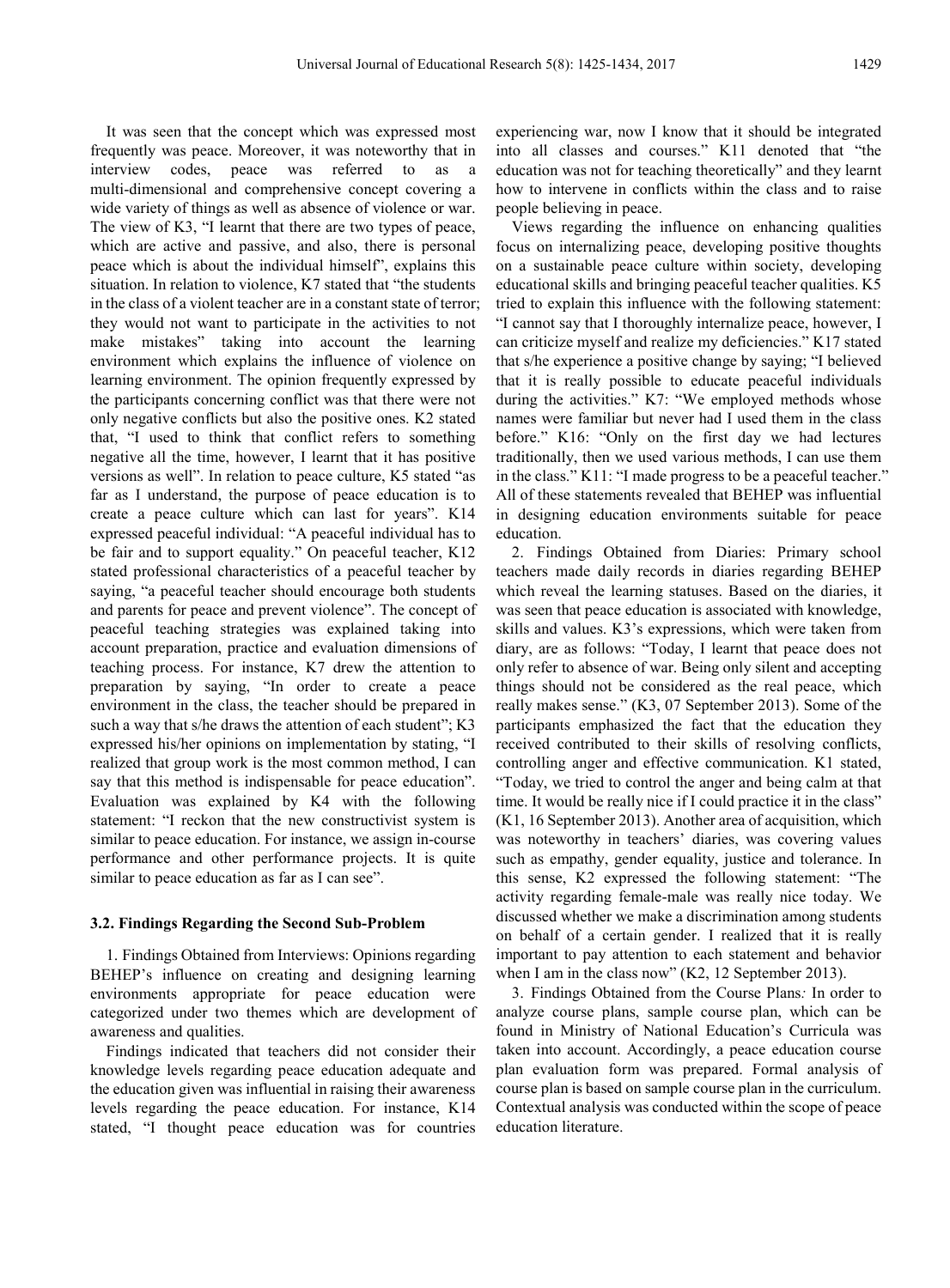It was seen that the concept which was expressed most frequently was peace. Moreover, it was noteworthy that in interview codes, peace was referred to as multi-dimensional and comprehensive concept covering a wide variety of things as well as absence of violence or war. The view of K3, "I learnt that there are two types of peace, which are active and passive, and also, there is personal peace which is about the individual himself", explains this situation. In relation to violence, K7 stated that "the students in the class of a violent teacher are in a constant state of terror; they would not want to participate in the activities to not make mistakes" taking into account the learning environment which explains the influence of violence on learning environment. The opinion frequently expressed by the participants concerning conflict was that there were not only negative conflicts but also the positive ones. K2 stated that, "I used to think that conflict refers to something negative all the time, however, I learnt that it has positive versions as well". In relation to peace culture, K5 stated "as far as I understand, the purpose of peace education is to create a peace culture which can last for years". K14 expressed peaceful individual: "A peaceful individual has to be fair and to support equality." On peaceful teacher, K12 stated professional characteristics of a peaceful teacher by saying, "a peaceful teacher should encourage both students and parents for peace and prevent violence". The concept of peaceful teaching strategies was explained taking into account preparation, practice and evaluation dimensions of teaching process. For instance, K7 drew the attention to preparation by saying, "In order to create a peace environment in the class, the teacher should be prepared in such a way that s/he draws the attention of each student"; K3 expressed his/her opinions on implementation by stating, "I realized that group work is the most common method, I can say that this method is indispensable for peace education". Evaluation was explained by K4 with the following statement: "I reckon that the new constructivist system is similar to peace education. For instance, we assign in-course performance and other performance projects. It is quite similar to peace education as far as I can see".

#### **3.2. Findings Regarding the Second Sub-Problem**

1. Findings Obtained from Interviews: Opinions regarding BEHEP's influence on creating and designing learning environments appropriate for peace education were categorized under two themes which are development of awareness and qualities.

Findings indicated that teachers did not consider their knowledge levels regarding peace education adequate and the education given was influential in raising their awareness levels regarding the peace education. For instance, K14 stated, "I thought peace education was for countries

experiencing war, now I know that it should be integrated into all classes and courses." K11 denoted that "the education was not for teaching theoretically" and they learnt how to intervene in conflicts within the class and to raise people believing in peace.

Views regarding the influence on enhancing qualities focus on internalizing peace, developing positive thoughts on a sustainable peace culture within society, developing educational skills and bringing peaceful teacher qualities. K5 tried to explain this influence with the following statement: "I cannot say that I thoroughly internalize peace, however, I can criticize myself and realize my deficiencies." K17 stated that s/he experience a positive change by saying; "I believed that it is really possible to educate peaceful individuals during the activities." K7: "We employed methods whose names were familiar but never had I used them in the class before." K16: "Only on the first day we had lectures traditionally, then we used various methods, I can use them in the class." K11: "I made progress to be a peaceful teacher." All of these statements revealed that BEHEP was influential in designing education environments suitable for peace education.

2. Findings Obtained from Diaries: Primary school teachers made daily records in diaries regarding BEHEP which reveal the learning statuses. Based on the diaries, it was seen that peace education is associated with knowledge, skills and values. K3's expressions, which were taken from diary, are as follows: "Today, I learnt that peace does not only refer to absence of war. Being only silent and accepting things should not be considered as the real peace, which really makes sense." (K3, 07 September 2013). Some of the participants emphasized the fact that the education they received contributed to their skills of resolving conflicts, controlling anger and effective communication. K1 stated, "Today, we tried to control the anger and being calm at that time. It would be really nice if I could practice it in the class" (K1, 16 September 2013). Another area of acquisition, which was noteworthy in teachers' diaries, was covering values such as empathy, gender equality, justice and tolerance. In this sense, K2 expressed the following statement: "The activity regarding female-male was really nice today. We discussed whether we make a discrimination among students on behalf of a certain gender. I realized that it is really important to pay attention to each statement and behavior when I am in the class now" (K2, 12 September 2013).

3. Findings Obtained from the Course Plans*:* In order to analyze course plans, sample course plan, which can be found in Ministry of National Education's Curricula was taken into account. Accordingly, a peace education course plan evaluation form was prepared. Formal analysis of course plan is based on sample course plan in the curriculum. Contextual analysis was conducted within the scope of peace education literature.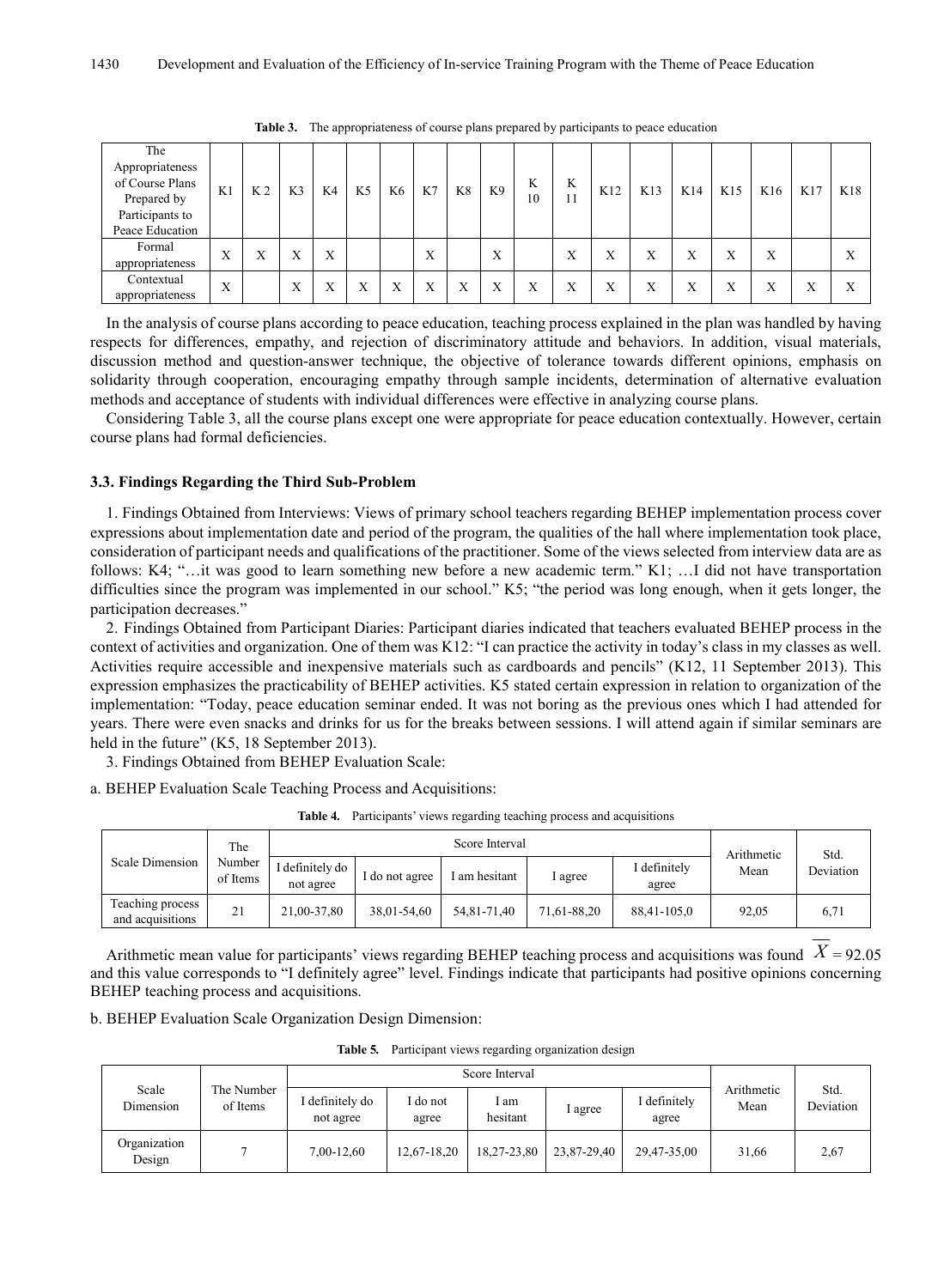| The<br>Appropriateness<br>of Course Plans<br>Prepared by<br>Participants to<br>Peace Education | K1               | K <sub>2</sub>    | K3                | K4 | K <sub>5</sub> | K6 | K7                | K8 | K9 | K<br>10          | K | K12    | K13 | K14 | K15    | K16    | K17 | K18               |
|------------------------------------------------------------------------------------------------|------------------|-------------------|-------------------|----|----------------|----|-------------------|----|----|------------------|---|--------|-----|-----|--------|--------|-----|-------------------|
| Formal<br>appropriateness                                                                      | X                | $\mathbf{v}$<br>л | л                 | Х  |                |    | $\mathbf{v}$<br>A |    | X  |                  | Х | v<br>л | Х   | Х   | X      | v<br>л |     |                   |
| Contextual<br>appropriateness                                                                  | $\boldsymbol{X}$ |                   | $\mathbf{v}$<br>л | л  | A              |    | л                 | Х  | X  | $\mathbf v$<br>л | Х | Х      | Х   | Х   | v<br>л | л      | л   | $\mathbf{v}$<br>△ |

**Table 3.** The appropriateness of course plans prepared by participants to peace education

In the analysis of course plans according to peace education, teaching process explained in the plan was handled by having respects for differences, empathy, and rejection of discriminatory attitude and behaviors. In addition, visual materials, discussion method and question-answer technique, the objective of tolerance towards different opinions, emphasis on solidarity through cooperation, encouraging empathy through sample incidents, determination of alternative evaluation methods and acceptance of students with individual differences were effective in analyzing course plans.

Considering Table 3, all the course plans except one were appropriate for peace education contextually. However, certain course plans had formal deficiencies.

### **3.3. Findings Regarding the Third Sub-Problem**

1. Findings Obtained from Interviews: Views of primary school teachers regarding BEHEP implementation process cover expressions about implementation date and period of the program, the qualities of the hall where implementation took place, consideration of participant needs and qualifications of the practitioner. Some of the views selected from interview data are as follows: K4; "…it was good to learn something new before a new academic term." K1; …I did not have transportation difficulties since the program was implemented in our school." K5; "the period was long enough, when it gets longer, the participation decreases."

2. Findings Obtained from Participant Diaries: Participant diaries indicated that teachers evaluated BEHEP process in the context of activities and organization. One of them was K12: "I can practice the activity in today's class in my classes as well. Activities require accessible and inexpensive materials such as cardboards and pencils" (K12, 11 September 2013). This expression emphasizes the practicability of BEHEP activities. K5 stated certain expression in relation to organization of the implementation: "Today, peace education seminar ended. It was not boring as the previous ones which I had attended for years. There were even snacks and drinks for us for the breaks between sessions. I will attend again if similar seminars are held in the future" (K5, 18 September 2013).

3. Findings Obtained from BEHEP Evaluation Scale:

a. BEHEP Evaluation Scale Teaching Process and Acquisitions:

|                                      | The                |                              | Arithmetic     | Std.          |             |                       |       |           |
|--------------------------------------|--------------------|------------------------------|----------------|---------------|-------------|-----------------------|-------|-----------|
| Scale Dimension                      | Number<br>of Items | I definitely do<br>not agree | I do not agree | I am hesitant | I agree     | I definitely<br>agree | Mean  | Deviation |
| Teaching process<br>and acquisitions | 21                 | 21.00-37.80                  | 38.01-54.60    | 54.81-71.40   | 71.61-88.20 | 88.41-105.0           | 92.05 | 6,71      |

**Table 4***.* Participants' views regarding teaching process and acquisitions

Arithmetic mean value for participants' views regarding BEHEP teaching process and acquisitions was found  $X = 92.05$ and this value corresponds to "I definitely agree" level. Findings indicate that participants had positive opinions concerning BEHEP teaching process and acquisitions.

b. BEHEP Evaluation Scale Organization Design Dimension:

**Table 5***.* Participant views regarding organization design

|                        |                        |                              |                 | Score Interval   |             |                       | Arithmetic<br>Mean | Std.<br>Deviation |
|------------------------|------------------------|------------------------------|-----------------|------------------|-------------|-----------------------|--------------------|-------------------|
| Scale<br>Dimension     | The Number<br>of Items | I definitely do<br>not agree | do not<br>agree | l am<br>hesitant | I agree     | I definitely<br>agree |                    |                   |
| Organization<br>Design |                        | 7,00-12,60                   | $12,67-18,20$   | 18,27-23,80      | 23,87-29,40 | 29.47-35.00           | 31,66              | 2,67              |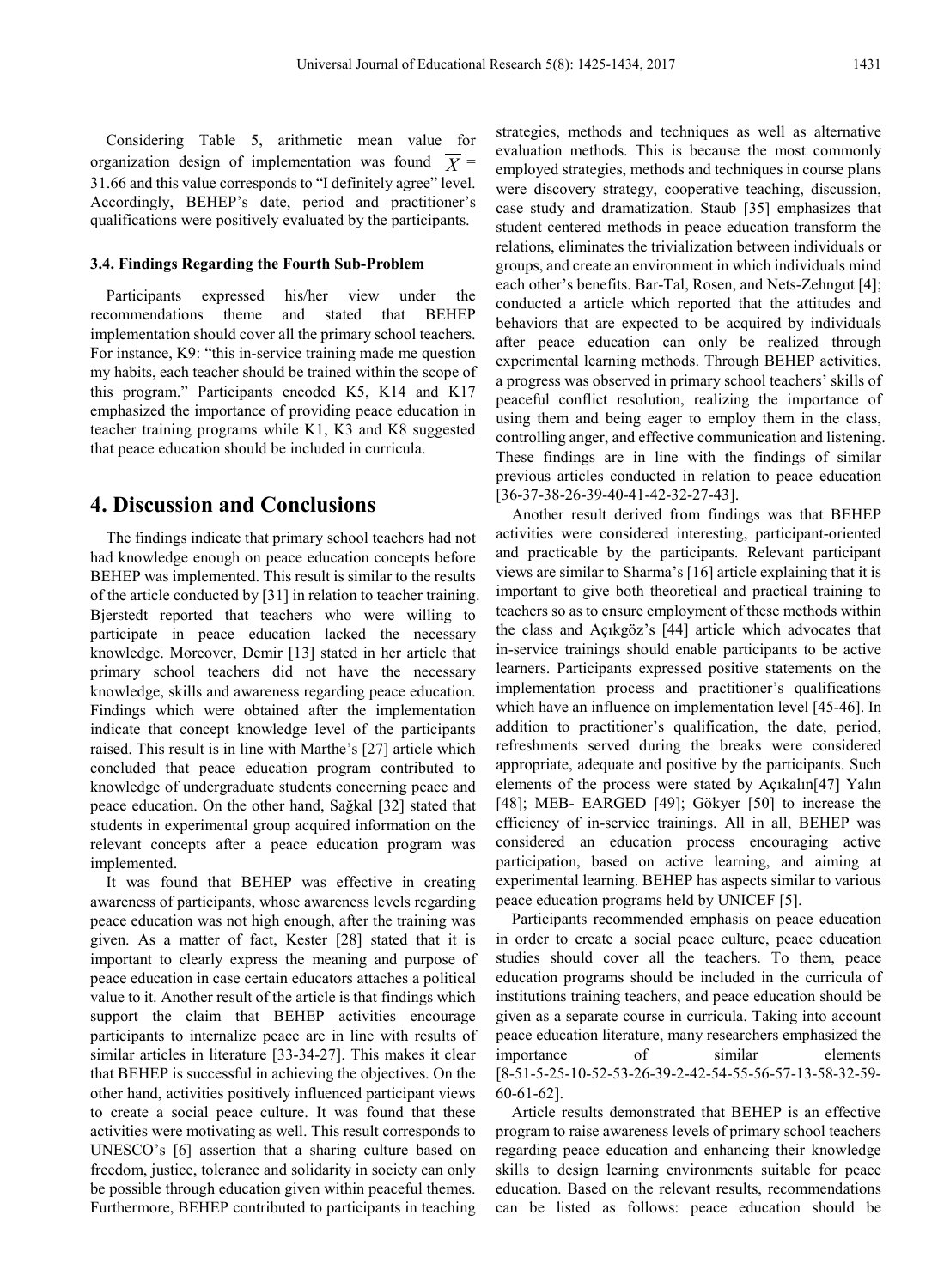Considering Table 5, arithmetic mean value for organization design of implementation was found  $X =$ 31.66 and this value corresponds to "I definitely agree" level. Accordingly, BEHEP's date, period and practitioner's qualifications were positively evaluated by the participants.

#### **3.4. Findings Regarding the Fourth Sub-Problem**

Participants expressed his/her view under the recommendations theme and stated that BEHEP implementation should cover all the primary school teachers. For instance, K9: "this in-service training made me question my habits, each teacher should be trained within the scope of this program." Participants encoded K5, K14 and K17 emphasized the importance of providing peace education in teacher training programs while K1, K3 and K8 suggested that peace education should be included in curricula.

# **4. Discussion and Conclusions**

The findings indicate that primary school teachers had not had knowledge enough on peace education concepts before BEHEP was implemented. This result is similar to the results of the article conducted by [31] in relation to teacher training. Bjerstedt reported that teachers who were willing to participate in peace education lacked the necessary knowledge. Moreover, Demir [13] stated in her article that primary school teachers did not have the necessary knowledge, skills and awareness regarding peace education. Findings which were obtained after the implementation indicate that concept knowledge level of the participants raised. This result is in line with Marthe's [27] article which concluded that peace education program contributed to knowledge of undergraduate students concerning peace and peace education. On the other hand, Sağkal [32] stated that students in experimental group acquired information on the relevant concepts after a peace education program was implemented.

It was found that BEHEP was effective in creating awareness of participants, whose awareness levels regarding peace education was not high enough, after the training was given. As a matter of fact, Kester [28] stated that it is important to clearly express the meaning and purpose of peace education in case certain educators attaches a political value to it. Another result of the article is that findings which support the claim that BEHEP activities encourage participants to internalize peace are in line with results of similar articles in literature [33-34-27]. This makes it clear that BEHEP is successful in achieving the objectives. On the other hand, activities positively influenced participant views to create a social peace culture. It was found that these activities were motivating as well. This result corresponds to UNESCO's [6] assertion that a sharing culture based on freedom, justice, tolerance and solidarity in society can only be possible through education given within peaceful themes. Furthermore, BEHEP contributed to participants in teaching

strategies, methods and techniques as well as alternative evaluation methods. This is because the most commonly employed strategies, methods and techniques in course plans were discovery strategy, cooperative teaching, discussion, case study and dramatization. Staub [35] emphasizes that student centered methods in peace education transform the relations, eliminates the trivialization between individuals or groups, and create an environment in which individuals mind each other's benefits. Bar-Tal, Rosen, and Nets-Zehngut [4]; conducted a article which reported that the attitudes and behaviors that are expected to be acquired by individuals after peace education can only be realized through experimental learning methods. Through BEHEP activities, a progress was observed in primary school teachers' skills of peaceful conflict resolution, realizing the importance of using them and being eager to employ them in the class, controlling anger, and effective communication and listening. These findings are in line with the findings of similar previous articles conducted in relation to peace education [36-37-38-26-39-40-41-42-32-27-43].

Another result derived from findings was that BEHEP activities were considered interesting, participant-oriented and practicable by the participants. Relevant participant views are similar to Sharma's [16] article explaining that it is important to give both theoretical and practical training to teachers so as to ensure employment of these methods within the class and Açıkgöz's [44] article which advocates that in-service trainings should enable participants to be active learners. Participants expressed positive statements on the implementation process and practitioner's qualifications which have an influence on implementation level [45-46]. In addition to practitioner's qualification, the date, period, refreshments served during the breaks were considered appropriate, adequate and positive by the participants. Such elements of the process were stated by Açıkalın[47] Yalın [48]; MEB- EARGED [49]; Gökyer [50] to increase the efficiency of in-service trainings. All in all, BEHEP was considered an education process encouraging active participation, based on active learning, and aiming at experimental learning. BEHEP has aspects similar to various peace education programs held by UNICEF [5].

Participants recommended emphasis on peace education in order to create a social peace culture, peace education studies should cover all the teachers. To them, peace education programs should be included in the curricula of institutions training teachers, and peace education should be given as a separate course in curricula. Taking into account peace education literature, many researchers emphasized the importance of similar elements [8-51-5-25-10-52-53-26-39-2-42-54-55-56-57-13-58-32-59- 60-61-62].

Article results demonstrated that BEHEP is an effective program to raise awareness levels of primary school teachers regarding peace education and enhancing their knowledge skills to design learning environments suitable for peace education. Based on the relevant results, recommendations can be listed as follows: peace education should be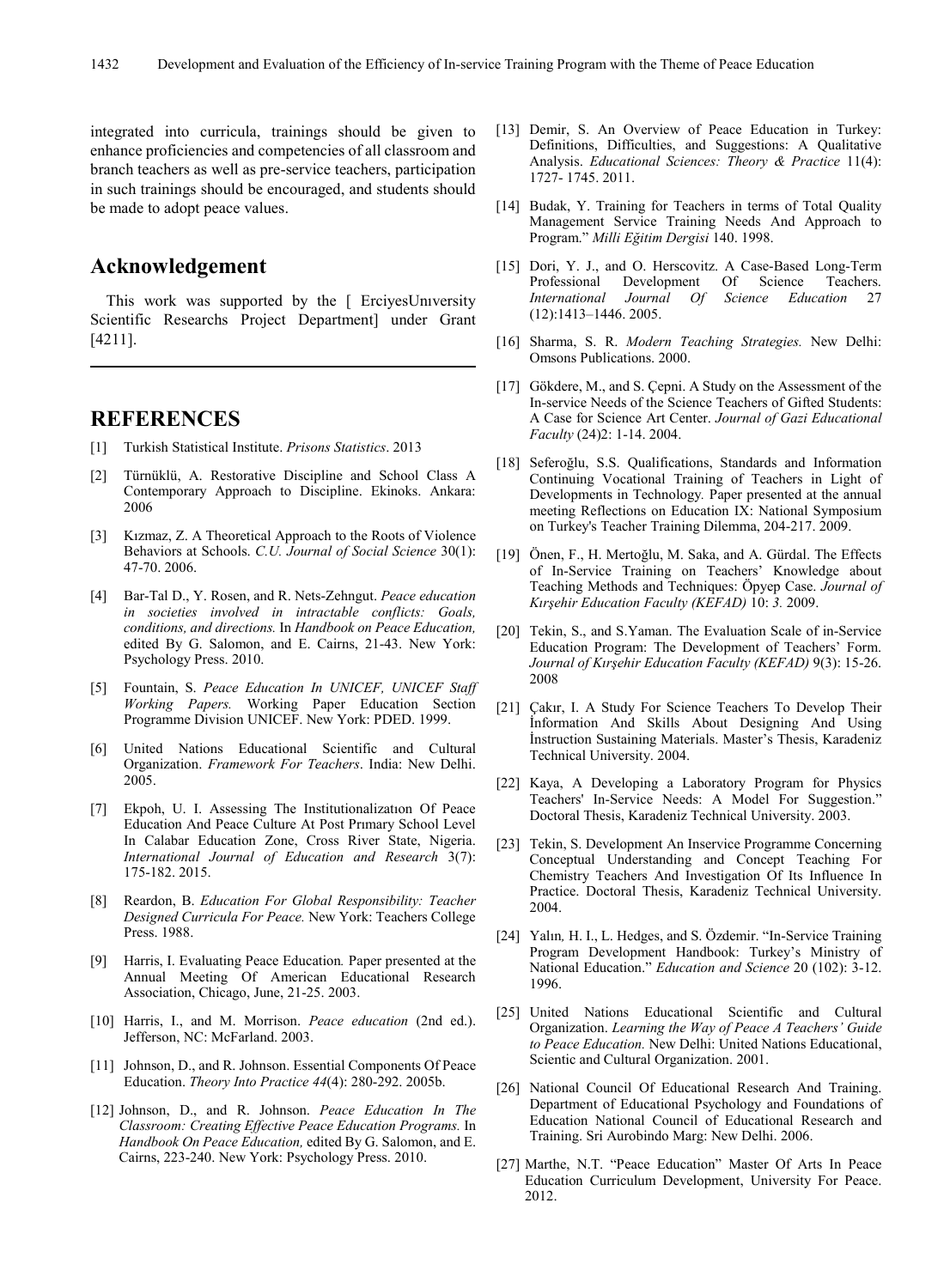integrated into curricula, trainings should be given to enhance proficiencies and competencies of all classroom and branch teachers as well as pre-service teachers, participation in such trainings should be encouraged, and students should be made to adopt peace values.

# **Acknowledgement**

This work was supported by the [ ErciyesUnıversity Scientific Researchs Project Department] under Grant [4211].

# **REFERENCES**

- [1] Turkish Statistical Institute. *Prisons Statistics*. 2013
- [2] Türnüklü, A. Restorative Discipline and School Class A Contemporary Approach to Discipline. Ekinoks. Ankara: 2006
- [3] Kızmaz, Z. A Theoretical Approach to the Roots of Violence Behaviors at Schools. *C.U. Journal of Social Science* 30(1): 47-70. 2006.
- [4] Bar-Tal D., Y. Rosen, and R. Nets-Zehngut. *Peace education in societies involved in intractable conflicts: Goals, conditions, and directions.* In *Handbook on Peace Education,*  edited By G. Salomon, and E. Cairns, 21-43. New York: Psychology Press. 2010.
- [5] Fountain, S. *Peace Education In UNICEF, UNICEF Staff Working Papers.* Working Paper Education Section Programme Division UNICEF. New York: PDED. 1999.
- [6] United Nations Educational Scientific and Cultural Organization. *Framework For Teachers*. India: New Delhi. 2005.
- [7] Ekpoh, U. I. Assessing The Institutionalizatıon Of Peace Education And Peace Culture At Post Prımary School Level In Calabar Education Zone, Cross River State, Nigeria. *International Journal of Education and Research* 3(7): 175-182. 2015.
- [8] Reardon, B. *Education For Global Responsibility: Teacher Designed Curricula For Peace.* New York: Teachers College Press. 1988.
- [9] Harris, I. Evaluating Peace Education*.* Paper presented at the Annual Meeting Of American Educational Research Association, Chicago, June, 21-25. 2003.
- [10] Harris, I., and M. Morrison. *Peace education* (2nd ed.). Jefferson, NC: McFarland. 2003.
- [11] Johnson, D., and R. Johnson. Essential Components Of Peace Education. *Theory Into Practice 44*(4): 280-292. 2005b.
- [12] Johnson, D., and R. Johnson. *Peace Education In The Classroom: Creating Effective Peace Education Programs.* In *Handbook On Peace Education,* edited By G. Salomon, and E. Cairns, 223-240. New York: Psychology Press. 2010.
- [13] Demir, S. An Overview of Peace Education in Turkey: Definitions, Difficulties, and Suggestions: A Qualitative Analysis. *Educational Sciences: Theory & Practice* 11(4): 1727- 1745. 2011.
- [14] Budak, Y. Training for Teachers in terms of Total Quality Management Service Training Needs And Approach to Program." *Milli Eğitim Dergisi* 140. 1998.
- [15] Dori, Y. J., and O. Herscovitz. A Case-Based Long-Term Professional Development Of Science Teachers. *International Journal Of Science Education* 27 (12):1413–1446. 2005.
- [16] Sharma, S. R. *Modern Teaching Strategies.* New Delhi: Omsons Publications. 2000.
- [17] Gökdere, M., and S. Cepni. A Study on the Assessment of the In-service Needs of the Science Teachers of Gifted Students: A Case for Science Art Center. *Journal of Gazi Educational Faculty* (24)2: 1-14. 2004.
- [18] Seferoğlu, S.S. Qualifications, Standards and Information Continuing Vocational Training of Teachers in Light of Developments in Technology*.* Paper presented at the annual meeting Reflections on Education IX: National Symposium on Turkey's Teacher Training Dilemma, 204-217. 2009.
- [19] Önen, F., H. Mertoğlu, M. Saka, and A. Gürdal. The Effects of In-Service Training on Teachers' Knowledge about Teaching Methods and Techniques: Öpyep Case. *Journal of Kırşehir Education Faculty (KEFAD)* 10: *3.* 2009.
- [20] Tekin, S., and S. Yaman. The Evaluation Scale of in-Service Education Program: The Development of Teachers' Form. *Journal of Kırşehir Education Faculty (KEFAD)* 9(3): 15-26. 2008
- [21] Çakır, I. A Study For Science Teachers To Develop Their İnformation And Skills About Designing And Using İnstruction Sustaining Materials. Master's Thesis, Karadeniz Technical University. 2004.
- [22] Kaya, A Developing a Laboratory Program for Physics Teachers' In-Service Needs: A Model For Suggestion." Doctoral Thesis, Karadeniz Technical University. 2003.
- [23] Tekin, S. Development An Inservice Programme Concerning Conceptual Understanding and Concept Teaching For Chemistry Teachers And Investigation Of Its Influence In Practice. Doctoral Thesis, Karadeniz Technical University. 2004.
- [24] Yalın*,* H. I., L. Hedges, and S. Özdemir. "In-Service Training Program Development Handbook: Turkey's Ministry of National Education." *Education and Science* 20 (102): 3-12. 1996.
- [25] United Nations Educational Scientific and Cultural Organization. *Learning the Way of Peace A Teachers' Guide to Peace Education.* New Delhi: United Nations Educational, Scientic and Cultural Organization. 2001.
- [26] National Council Of Educational Research And Training. Department of Educational Psychology and Foundations of Education National Council of Educational Research and Training. Sri Aurobindo Marg: New Delhi. 2006.
- [27] Marthe, N.T. "Peace Education" Master Of Arts In Peace Education Curriculum Development, University For Peace. 2012.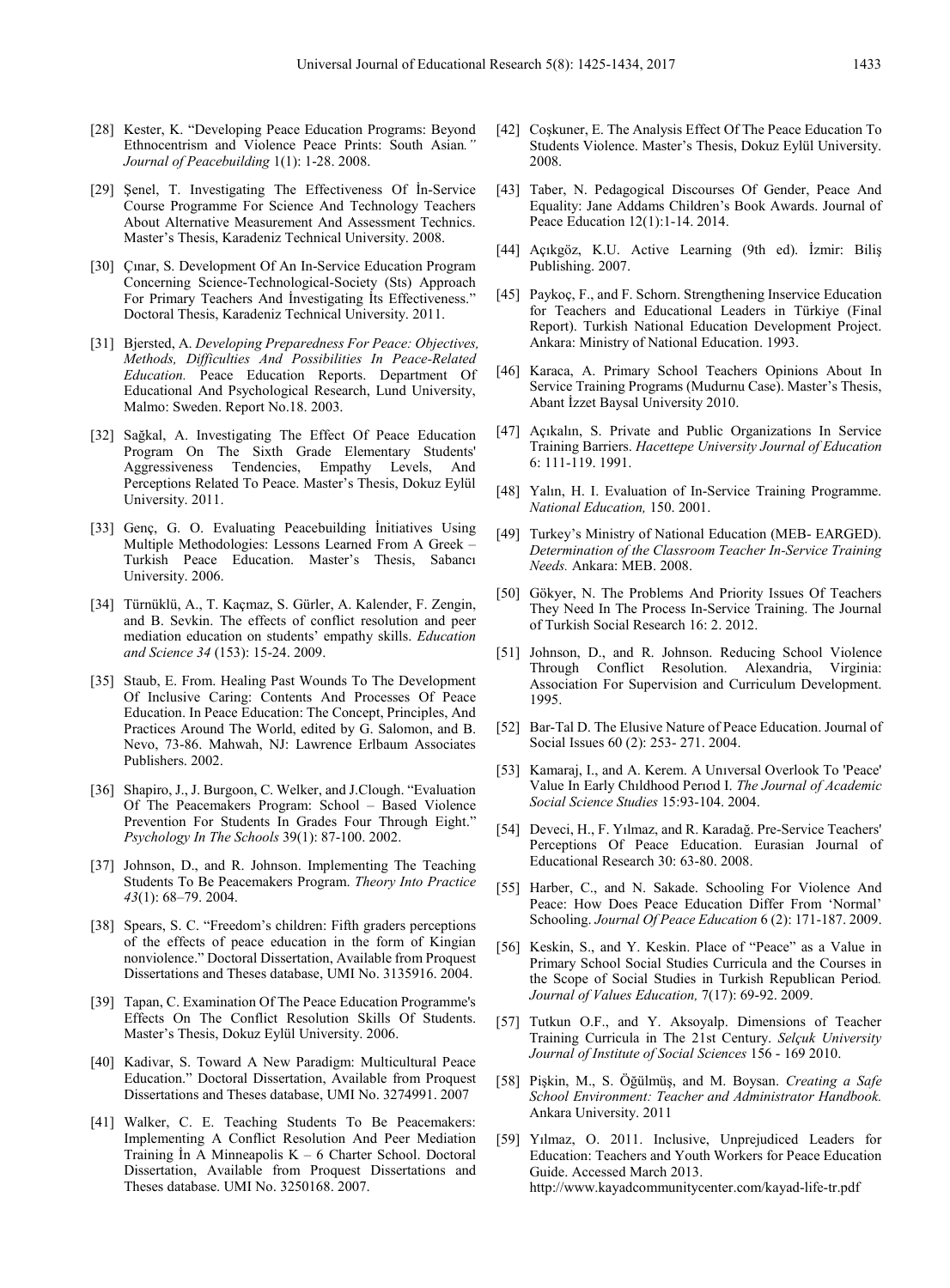- [28] Kester, K. "Developing Peace Education Programs: Beyond Ethnocentrism and Violence Peace Prints: South Asian*." Journal of Peacebuilding* 1(1): 1-28. 2008.
- [29] Şenel, T. Investigating The Effectiveness Of İn-Service Course Programme For Science And Technology Teachers About Alternative Measurement And Assessment Technics. Master's Thesis, Karadeniz Technical University. 2008.
- [30] Çınar, S. Development Of An In-Service Education Program Concerning Science-Technological-Society (Sts) Approach For Primary Teachers And İnvestigating İts Effectiveness." Doctoral Thesis, Karadeniz Technical University. 2011.
- [31] Bjersted, A. *Developing Preparedness For Peace: Objectives, Methods, Difficulties And Possibilities In Peace-Related Education.* Peace Education Reports. Department Of Educational And Psychological Research, Lund University, Malmo: Sweden. Report No.18. 2003.
- [32] Sağkal, A. Investigating The Effect Of Peace Education Program On The Sixth Grade Elementary Students' Aggressiveness Tendencies, Empathy Levels, And Perceptions Related To Peace. Master's Thesis, Dokuz Eylül University. 2011.
- [33] Genç, G. O. Evaluating Peacebuilding İnitiatives Using Multiple Methodologies: Lessons Learned From A Greek – Turkish Peace Education. Master's Thesis, Sabancı University. 2006.
- [34] Türnüklü, A., T. Kaçmaz, S. Gürler, A. Kalender, F. Zengin, and B. Sevkin. The effects of conflict resolution and peer mediation education on students' empathy skills. *Education and Science 34* (153): 15-24. 2009.
- [35] Staub, E. From. Healing Past Wounds To The Development Of Inclusive Caring: Contents And Processes Of Peace Education. In Peace Education: The Concept, Principles, And Practices Around The World, edited by G. Salomon, and B. Nevo, 73-86. Mahwah, NJ: Lawrence Erlbaum Associates Publishers. 2002.
- [36] Shapiro, J., J. Burgoon, C. Welker, and J.Clough. "Evaluation Of The Peacemakers Program: School – Based Violence Prevention For Students In Grades Four Through Eight." *Psychology In The Schools* 39(1): 87-100. 2002.
- [37] Johnson, D., and R. Johnson. Implementing The Teaching Students To Be Peacemakers Program. *Theory Into Practice 43*(1): 68–79. 2004.
- [38] Spears, S. C. "Freedom's children: Fifth graders perceptions of the effects of peace education in the form of Kingian nonviolence." Doctoral Dissertation, Available from Proquest Dissertations and Theses database, UMI No. 3135916. 2004.
- [39] Tapan, C. Examination Of The Peace Education Programme's Effects On The Conflict Resolution Skills Of Students. Master's Thesis, Dokuz Eylül University. 2006.
- [40] Kadivar, S. Toward A New Paradigm: Multicultural Peace Education." Doctoral Dissertation, Available from Proquest Dissertations and Theses database, UMI No. 3274991. 2007
- [41] Walker, C. E. Teaching Students To Be Peacemakers: Implementing A Conflict Resolution And Peer Mediation Training In A Minneapolis  $K - 6$  Charter School. Doctoral Dissertation, Available from Proquest Dissertations and Theses database. UMI No. 3250168. 2007.
- [42] Coşkuner, E. The Analysis Effect Of The Peace Education To Students Violence. Master's Thesis, Dokuz Eylül University. 2008.
- [43] Taber, N. Pedagogical Discourses Of Gender, Peace And Equality: Jane Addams Children's Book Awards. Journal of Peace Education 12(1):1-14. 2014.
- [44] Açıkgöz, K.U. Active Learning (9th ed). İzmir: Biliş Publishing. 2007.
- [45] Paykoç, F., and F. Schorn. Strengthening Inservice Education for Teachers and Educational Leaders in Türkiye (Final Report). Turkish National Education Development Project. Ankara: Ministry of National Education. 1993.
- [46] Karaca, A. Primary School Teachers Opinions About In Service Training Programs (Mudurnu Case). Master's Thesis, Abant İzzet Baysal University 2010.
- [47] Açıkalın, S. Private and Public Organizations In Service Training Barriers. *Hacettepe University Journal of Education* 6: 111-119. 1991.
- [48] Yalın, H. I. Evaluation of In-Service Training Programme. *National Education,* 150. 2001.
- [49] Turkey's Ministry of National Education (MEB- EARGED). *Determination of the Classroom Teacher In-Service Training Needs.* Ankara: MEB. 2008.
- [50] Gökyer, N. The Problems And Priority Issues Of Teachers They Need In The Process In-Service Training. The Journal of Turkish Social Research 16: 2. 2012.
- [51] Johnson, D., and R. Johnson. Reducing School Violence Through Conflict Resolution. Alexandria, Virginia: Association For Supervision and Curriculum Development. 1995.
- [52] Bar-Tal D. The Elusive Nature of Peace Education. Journal of Social Issues 60 (2): 253- 271. 2004.
- [53] Kamaraj, I., and A. Kerem. A Unıversal Overlook To 'Peace' Value In Early Chıldhood Perıod I. *The Journal of Academic Social Science Studies* 15:93-104. 2004.
- [54] Deveci, H., F. Yılmaz, and R. Karadağ. Pre-Service Teachers' Perceptions Of Peace Education. Eurasian Journal of Educational Research 30: 63-80. 2008.
- [55] Harber, C., and N. Sakade. Schooling For Violence And Peace: How Does Peace Education Differ From 'Normal' Schooling. *Journal Of Peace Education* 6 (2): 171-187. 2009.
- [56] Keskin, S., and Y. Keskin. Place of "Peace" as a Value in Primary School Social Studies Curricula and the Courses in the Scope of Social Studies in Turkish Republican Period*. Journal of Values Education,* 7(17): 69-92. 2009.
- [57] Tutkun O.F., and Y. Aksoyalp. Dimensions of Teacher Training Curricula in The 21st Century. *Selçuk University Journal of Institute of Social Sciences* 156 - 169 2010.
- [58] Pişkin, M., S. Öğülmüş, and M. Boysan. *Creating a Safe School Environment: Teacher and Administrator Handbook.*  Ankara University. 2011
- [59] Yılmaz, O. 2011. Inclusive, Unprejudiced Leaders for Education: Teachers and Youth Workers for Peace Education Guide. Accessed March 2013. http://www.kayadcommunitycenter.com/kayad-life-tr.pdf